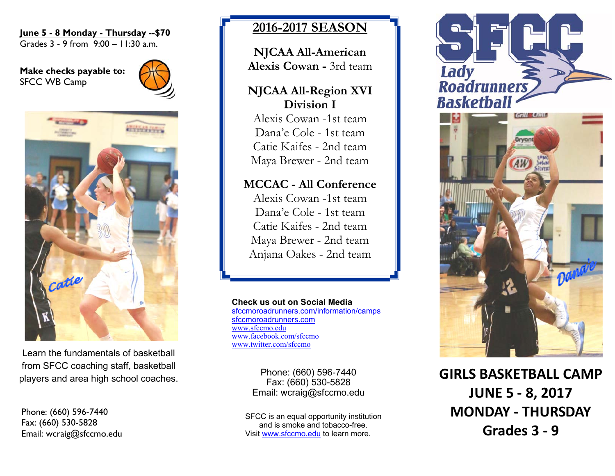**June 5 - 8 Monday - Thursday --\$70**  Grades  $3 - 9$  from  $9:00 - 11:30$  a.m.

**Make checks payable to:**  SFCC WB Camp





Learn the fundamentals of basketball from SFCC coaching staff, basketball players and area high school coaches.<br>Phone: (660) 596-7440<br>Fax: (660) 530-5828

Phone: (660) 596-7440 Fax: (660) 530-5828 Email: wcraig@sfccmo.edu

# **2016-2017 SEASON**

**NJCAA All-American Alexis Cowan -** 3rd team

# **NJCAA All-Region XVI Division I**

Alexis Cowan -1st team Dana'e Cole - 1st team Catie Kaifes - 2nd team Maya Brewer - 2nd team

## **MCCAC - All Conference**

Alexis Cowan -1st team Dana'e Cole - 1st team Catie Kaifes - 2nd team Maya Brewer - 2nd team Anjana Oakes - 2nd team

### **Check us out on Social Media**

sfccmoroadrunners.com/information/camps sfccmoroadrunners.comwww.sfccmo.edu www.facebook.com/sfccmo www.twitter.com/sfccmo

Email: wcraig@sfccmo.edu

SFCC is an equal opportunity institution and is smoke and tobacco-free. Visit www.sfccmo.edu to learn more.





**GIRLS BASKETBALL CAMP JUNE 5 ‐ 8, 2017 MONDAY ‐ THURSDAY Grades 3 ‐ 9**